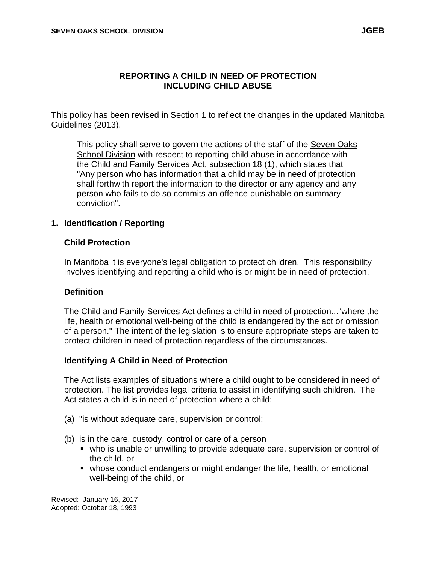#### **REPORTING A CHILD IN NEED OF PROTECTION INCLUDING CHILD ABUSE**

This policy has been revised in Section 1 to reflect the changes in the updated Manitoba Guidelines (2013).

This policy shall serve to govern the actions of the staff of the Seven Oaks School Division with respect to reporting child abuse in accordance with the Child and Family Services Act, subsection 18 (1), which states that "Any person who has information that a child may be in need of protection shall forthwith report the information to the director or any agency and any person who fails to do so commits an offence punishable on summary conviction".

#### **1. Identification / Reporting**

#### **Child Protection**

In Manitoba it is everyone's legal obligation to protect children. This responsibility involves identifying and reporting a child who is or might be in need of protection.

#### **Definition**

The Child and Family Services Act defines a child in need of protection..."where the life, health or emotional well-being of the child is endangered by the act or omission of a person." The intent of the legislation is to ensure appropriate steps are taken to protect children in need of protection regardless of the circumstances.

#### **Identifying A Child in Need of Protection**

The Act lists examples of situations where a child ought to be considered in need of protection. The list provides legal criteria to assist in identifying such children. The Act states a child is in need of protection where a child;

- (a) "is without adequate care, supervision or control;
- (b) is in the care, custody, control or care of a person
	- who is unable or unwilling to provide adequate care, supervision or control of the child, or
	- whose conduct endangers or might endanger the life, health, or emotional well-being of the child, or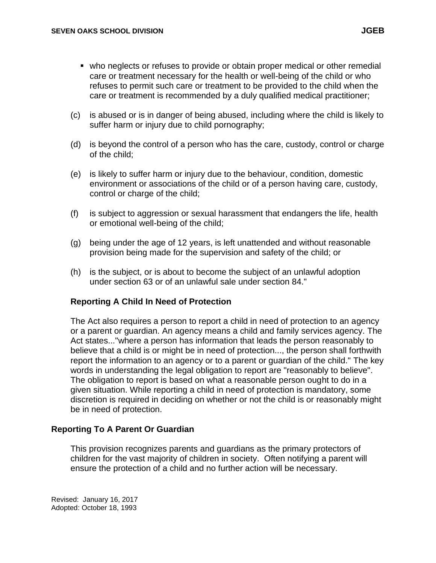- who neglects or refuses to provide or obtain proper medical or other remedial care or treatment necessary for the health or well-being of the child or who refuses to permit such care or treatment to be provided to the child when the care or treatment is recommended by a duly qualified medical practitioner;
- (c) is abused or is in danger of being abused, including where the child is likely to suffer harm or injury due to child pornography;
- (d) is beyond the control of a person who has the care, custody, control or charge of the child;
- (e) is likely to suffer harm or injury due to the behaviour, condition, domestic environment or associations of the child or of a person having care, custody, control or charge of the child;
- (f) is subject to aggression or sexual harassment that endangers the life, health or emotional well-being of the child;
- (g) being under the age of 12 years, is left unattended and without reasonable provision being made for the supervision and safety of the child; or
- (h) is the subject, or is about to become the subject of an unlawful adoption under section 63 or of an unlawful sale under section 84."

#### **Reporting A Child In Need of Protection**

The Act also requires a person to report a child in need of protection to an agency or a parent or guardian. An agency means a child and family services agency. The Act states..."where a person has information that leads the person reasonably to believe that a child is or might be in need of protection..., the person shall forthwith report the information to an agency or to a parent or guardian of the child." The key words in understanding the legal obligation to report are "reasonably to believe". The obligation to report is based on what a reasonable person ought to do in a given situation. While reporting a child in need of protection is mandatory, some discretion is required in deciding on whether or not the child is or reasonably might be in need of protection.

#### **Reporting To A Parent Or Guardian**

This provision recognizes parents and guardians as the primary protectors of children for the vast majority of children in society. Often notifying a parent will ensure the protection of a child and no further action will be necessary.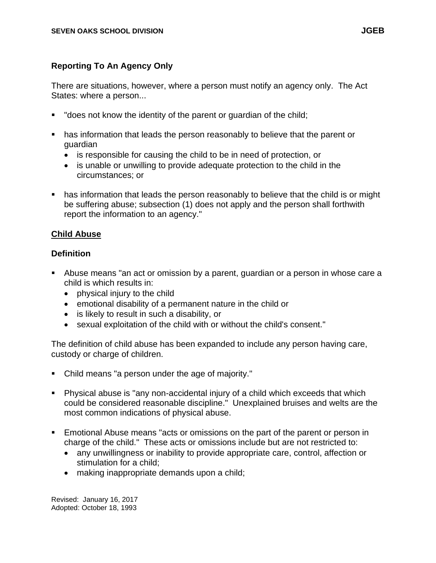### **Reporting To An Agency Only**

There are situations, however, where a person must notify an agency only. The Act States: where a person...

- "does not know the identity of the parent or guardian of the child;
- has information that leads the person reasonably to believe that the parent or guardian
	- is responsible for causing the child to be in need of protection, or
	- is unable or unwilling to provide adequate protection to the child in the circumstances; or
- has information that leads the person reasonably to believe that the child is or might be suffering abuse; subsection (1) does not apply and the person shall forthwith report the information to an agency."

### **Child Abuse**

### **Definition**

- Abuse means "an act or omission by a parent, guardian or a person in whose care a child is which results in:
	- physical injury to the child
	- emotional disability of a permanent nature in the child or
	- is likely to result in such a disability, or
	- sexual exploitation of the child with or without the child's consent."

The definition of child abuse has been expanded to include any person having care, custody or charge of children.

- Child means "a person under the age of majority."
- Physical abuse is "any non-accidental injury of a child which exceeds that which could be considered reasonable discipline." Unexplained bruises and welts are the most common indications of physical abuse.
- **Emotional Abuse means "acts or omissions on the part of the parent or person in** charge of the child." These acts or omissions include but are not restricted to:
	- any unwillingness or inability to provide appropriate care, control, affection or stimulation for a child;
	- making inappropriate demands upon a child;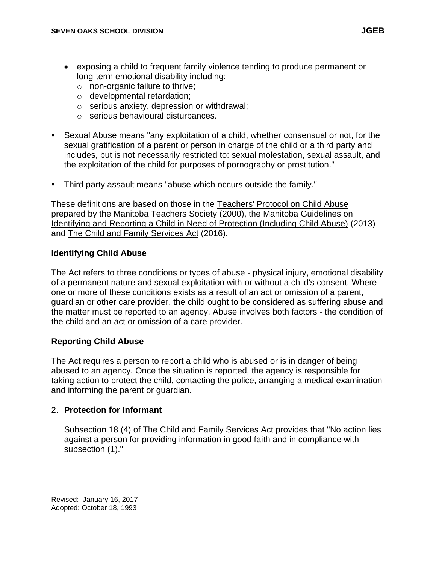- exposing a child to frequent family violence tending to produce permanent or long-term emotional disability including:
	- o non-organic failure to thrive;
	- o developmental retardation;
	- o serious anxiety, depression or withdrawal;
	- o serious behavioural disturbances.
- **E** Sexual Abuse means "any exploitation of a child, whether consensual or not, for the sexual gratification of a parent or person in charge of the child or a third party and includes, but is not necessarily restricted to: sexual molestation, sexual assault, and the exploitation of the child for purposes of pornography or prostitution."
- Third party assault means "abuse which occurs outside the family."

These definitions are based on those in the Teachers' Protocol on Child Abuse prepared by the Manitoba Teachers Society (2000), the Manitoba Guidelines on Identifying and Reporting a Child in Need of Protection (Including Child Abuse) (2013) and The Child and Family Services Act (2016).

#### **Identifying Child Abuse**

The Act refers to three conditions or types of abuse - physical injury, emotional disability of a permanent nature and sexual exploitation with or without a child's consent. Where one or more of these conditions exists as a result of an act or omission of a parent, guardian or other care provider, the child ought to be considered as suffering abuse and the matter must be reported to an agency. Abuse involves both factors - the condition of the child and an act or omission of a care provider.

#### **Reporting Child Abuse**

The Act requires a person to report a child who is abused or is in danger of being abused to an agency. Once the situation is reported, the agency is responsible for taking action to protect the child, contacting the police, arranging a medical examination and informing the parent or guardian.

#### 2. **Protection for Informant**

Subsection 18 (4) of The Child and Family Services Act provides that "No action lies against a person for providing information in good faith and in compliance with subsection (1)."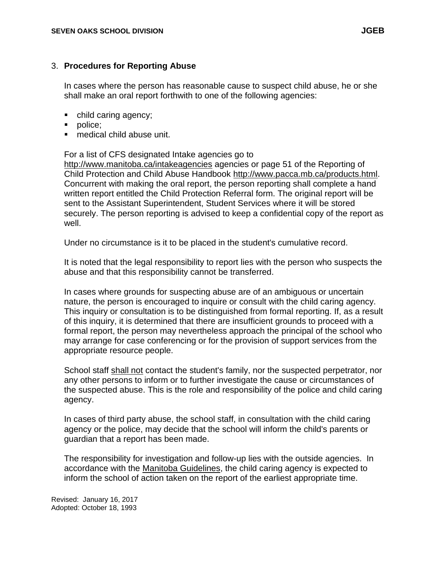#### 3. **Procedures for Reporting Abuse**

In cases where the person has reasonable cause to suspect child abuse, he or she shall make an oral report forthwith to one of the following agencies:

- child caring agency;
- police;
- medical child abuse unit.

#### For a list of CFS designated Intake agencies go to

<http://www.manitoba.ca/intakeagencies> agencies or page 51 of the Reporting of Child Protection and Child Abuse Handbook [http://www.pacca.mb.ca/products.html.](http://www.pacca.mb.ca/products.html) Concurrent with making the oral report, the person reporting shall complete a hand written report entitled the Child Protection Referral form. The original report will be sent to the Assistant Superintendent, Student Services where it will be stored securely. The person reporting is advised to keep a confidential copy of the report as well.

Under no circumstance is it to be placed in the student's cumulative record.

It is noted that the legal responsibility to report lies with the person who suspects the abuse and that this responsibility cannot be transferred.

In cases where grounds for suspecting abuse are of an ambiguous or uncertain nature, the person is encouraged to inquire or consult with the child caring agency. This inquiry or consultation is to be distinguished from formal reporting. If, as a result of this inquiry, it is determined that there are insufficient grounds to proceed with a formal report, the person may nevertheless approach the principal of the school who may arrange for case conferencing or for the provision of support services from the appropriate resource people.

School staff shall not contact the student's family, nor the suspected perpetrator, nor any other persons to inform or to further investigate the cause or circumstances of the suspected abuse. This is the role and responsibility of the police and child caring agency.

In cases of third party abuse, the school staff, in consultation with the child caring agency or the police, may decide that the school will inform the child's parents or guardian that a report has been made.

The responsibility for investigation and follow-up lies with the outside agencies. In accordance with the Manitoba Guidelines, the child caring agency is expected to inform the school of action taken on the report of the earliest appropriate time.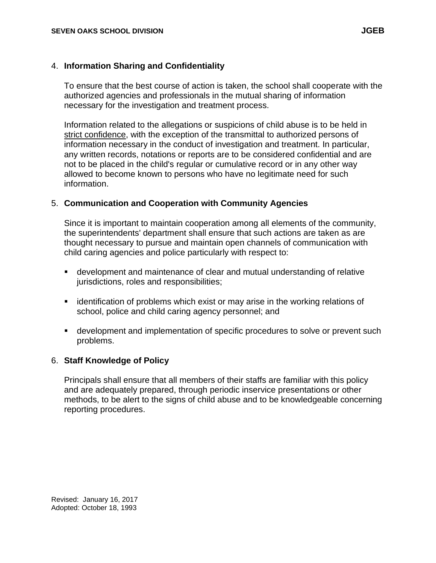#### 4. **Information Sharing and Confidentiality**

To ensure that the best course of action is taken, the school shall cooperate with the authorized agencies and professionals in the mutual sharing of information necessary for the investigation and treatment process.

Information related to the allegations or suspicions of child abuse is to be held in strict confidence, with the exception of the transmittal to authorized persons of information necessary in the conduct of investigation and treatment. In particular, any written records, notations or reports are to be considered confidential and are not to be placed in the child's regular or cumulative record or in any other way allowed to become known to persons who have no legitimate need for such information.

#### 5. **Communication and Cooperation with Community Agencies**

Since it is important to maintain cooperation among all elements of the community, the superintendents' department shall ensure that such actions are taken as are thought necessary to pursue and maintain open channels of communication with child caring agencies and police particularly with respect to:

- **E** development and maintenance of clear and mutual understanding of relative jurisdictions, roles and responsibilities;
- **EXED in the identification of problems which exist or may arise in the working relations of** school, police and child caring agency personnel; and
- development and implementation of specific procedures to solve or prevent such problems.

#### 6. **Staff Knowledge of Policy**

Principals shall ensure that all members of their staffs are familiar with this policy and are adequately prepared, through periodic inservice presentations or other methods, to be alert to the signs of child abuse and to be knowledgeable concerning reporting procedures.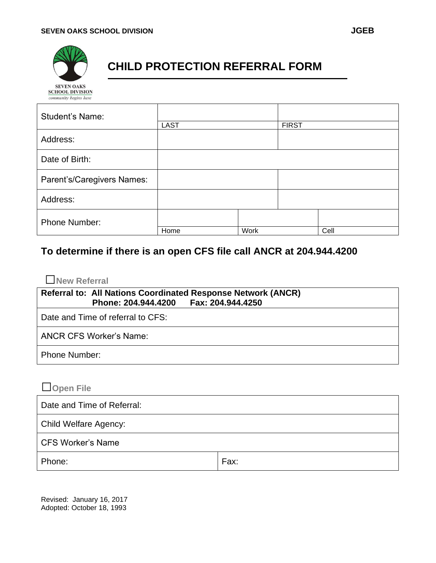# **CHILD PROTECTION REFERRAL FORM**

| community begins nere      |             |             |              |      |
|----------------------------|-------------|-------------|--------------|------|
| <b>Student's Name:</b>     |             |             |              |      |
|                            | <b>LAST</b> |             | <b>FIRST</b> |      |
| Address:                   |             |             |              |      |
| Date of Birth:             |             |             |              |      |
| Parent's/Caregivers Names: |             |             |              |      |
| Address:                   |             |             |              |      |
| <b>Phone Number:</b>       |             |             |              |      |
|                            | Home        | <b>Work</b> |              | Cell |

# **To determine if there is an open CFS file call ANCR at 204.944.4200**

## □**New Referral**

| Referral to: All Nations Coordinated Response Network (ANCR)<br>Phone: 204.944.4200    Fax: 204.944.4250 |  |
|----------------------------------------------------------------------------------------------------------|--|
| Date and Time of referral to CFS:                                                                        |  |
| <b>ANCR CFS Worker's Name:</b>                                                                           |  |
| <b>Phone Number:</b>                                                                                     |  |

# □**Open File**

| Date and Time of Referral:   |      |  |
|------------------------------|------|--|
| <b>Child Welfare Agency:</b> |      |  |
| <b>CFS Worker's Name</b>     |      |  |
| Phone:                       | Fax: |  |